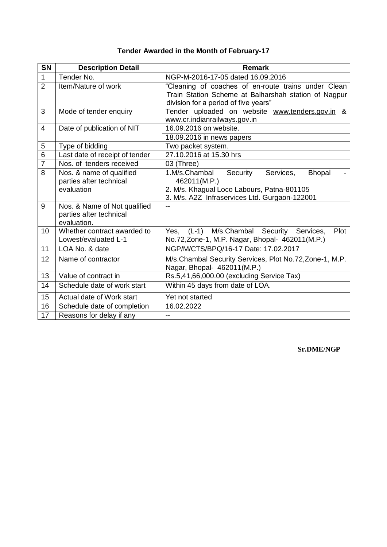| <b>SN</b>      | <b>Description Detail</b>                                              | <b>Remark</b>                                                                                                                                                          |
|----------------|------------------------------------------------------------------------|------------------------------------------------------------------------------------------------------------------------------------------------------------------------|
| $\mathbf{1}$   | Tender No.                                                             | NGP-M-2016-17-05 dated 16.09.2016                                                                                                                                      |
| $\overline{2}$ | Item/Nature of work                                                    | "Cleaning of coaches of en-route trains under Clean<br>Train Station Scheme at Balharshah station of Nagpur<br>division for a period of five years"                    |
| 3              | Mode of tender enquiry                                                 | Tender uploaded on website www.tenders.gov.in &<br>www.cr.indianrailways.gov.in                                                                                        |
| $\overline{4}$ | Date of publication of NIT                                             | 16.09.2016 on website.<br>18.09.2016 in news papers                                                                                                                    |
| 5              | Type of bidding                                                        | Two packet system.                                                                                                                                                     |
| $\overline{6}$ | Last date of receipt of tender                                         | 27.10.2016 at 15.30 hrs                                                                                                                                                |
| $\overline{7}$ | Nos. of tenders received                                               | 03 (Three)                                                                                                                                                             |
| 8              | Nos. & name of qualified<br>parties after technical<br>evaluation      | 1.M/s.Chambal<br>Security<br>Services,<br><b>Bhopal</b><br>462011(M.P.)<br>2. M/s. Khagual Loco Labours, Patna-801105<br>3. M/s. A2Z Infraservices Ltd. Gurgaon-122001 |
| 9              | Nos. & Name of Not qualified<br>parties after technical<br>evaluation. | --                                                                                                                                                                     |
| 10             | Whether contract awarded to<br>Lowest/evaluated L-1                    | Yes, (L-1) M/s. Chambal Security Services,<br>Plot<br>No.72, Zone-1, M.P. Nagar, Bhopal- 462011(M.P.)                                                                  |
| 11             | LOA No. & date                                                         | NGP/M/CTS/BPQ/16-17 Date: 17.02.2017                                                                                                                                   |
| 12             | Name of contractor                                                     | M/s.Chambal Security Services, Plot No.72, Zone-1, M.P.<br>Nagar, Bhopal- 462011(M.P.)                                                                                 |
| 13             | Value of contract in                                                   | Rs.5,41,66,000.00 (excluding Service Tax)                                                                                                                              |
| 14             | Schedule date of work start                                            | Within 45 days from date of LOA.                                                                                                                                       |
| 15             | Actual date of Work start                                              | Yet not started                                                                                                                                                        |
| 16             | Schedule date of completion                                            | 16.02.2022                                                                                                                                                             |
| 17             | Reasons for delay if any                                               | $-$                                                                                                                                                                    |

## **Tender Awarded in the Month of February-17**

**Sr.DME/NGP**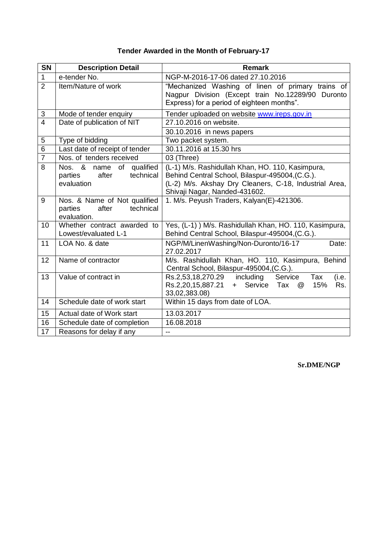| SN              | <b>Description Detail</b>                                                     | <b>Remark</b>                                                                                                                                                                                  |
|-----------------|-------------------------------------------------------------------------------|------------------------------------------------------------------------------------------------------------------------------------------------------------------------------------------------|
| $\mathbf{1}$    | e-tender No.                                                                  | NGP-M-2016-17-06 dated 27.10.2016                                                                                                                                                              |
| $\overline{2}$  | Item/Nature of work                                                           | "Mechanized Washing of linen of primary trains of<br>Nagpur Division (Except train No.12289/90 Duronto<br>Express) for a period of eighteen months".                                           |
| 3               | Mode of tender enquiry                                                        | Tender uploaded on website www.ireps.gov.in                                                                                                                                                    |
| $\overline{4}$  | Date of publication of NIT                                                    | 27.10.2016 on website.                                                                                                                                                                         |
|                 |                                                                               | 30.10.2016 in news papers                                                                                                                                                                      |
| 5               | Type of bidding                                                               | Two packet system.                                                                                                                                                                             |
| $\overline{6}$  | Last date of receipt of tender                                                | 30.11.2016 at 15.30 hrs                                                                                                                                                                        |
| $\overline{7}$  | Nos. of tenders received                                                      | 03 (Three)                                                                                                                                                                                     |
| 8               | Nos. &<br>of qualified<br>name<br>after<br>technical<br>parties<br>evaluation | (L-1) M/s. Rashidullah Khan, HO. 110, Kasimpura,<br>Behind Central School, Bilaspur-495004, (C.G.).<br>(L-2) M/s. Akshay Dry Cleaners, C-18, Industrial Area,<br>Shivaji Nagar, Nanded-431602. |
| 9               | Nos. & Name of Not qualified<br>technical<br>parties<br>after<br>evaluation.  | 1. M/s. Peyush Traders, Kalyan(E)-421306.                                                                                                                                                      |
| 10              | Whether contract awarded to<br>Lowest/evaluated L-1                           | Yes, (L-1) ) M/s. Rashidullah Khan, HO. 110, Kasimpura,<br>Behind Central School, Bilaspur-495004, (C.G.).                                                                                     |
| 11              | LOA No. & date                                                                | NGP/M/LinenWashing/Non-Duronto/16-17<br>Date:<br>27.02.2017                                                                                                                                    |
| 12              | Name of contractor                                                            | M/s. Rashidullah Khan, HO. 110, Kasimpura, Behind<br>Central School, Bilaspur-495004,(C.G.).                                                                                                   |
| 13              | Value of contract in                                                          | Rs.2,53,18,270.29 including<br>Tax<br>Service<br>(i.e.<br>Rs.2,20,15,887.21<br>+ Service<br>Tax<br>15%<br>Rs.<br>@<br>33,02,383.08)                                                            |
| 14              | Schedule date of work start                                                   | Within 15 days from date of LOA.                                                                                                                                                               |
| 15              | Actual date of Work start                                                     | 13.03.2017                                                                                                                                                                                     |
| 16              | Schedule date of completion                                                   | 16.08.2018                                                                                                                                                                                     |
| $\overline{17}$ | Reasons for delay if any                                                      | --                                                                                                                                                                                             |

## **Tender Awarded in the Month of February-17**

## **Sr.DME/NGP**